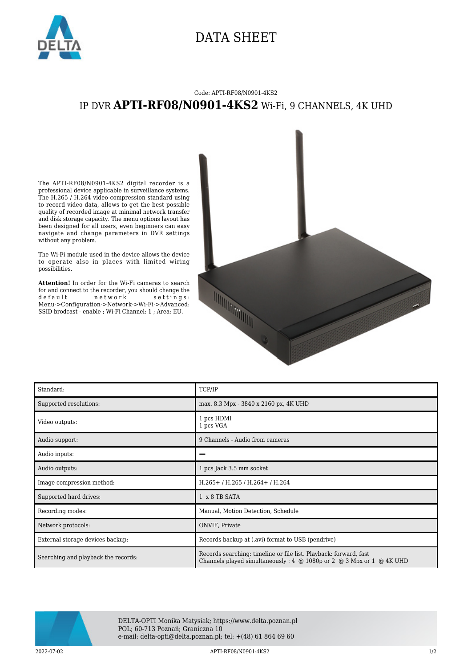

## DATA SHEET

## Code: APTI-RF08/N0901-4KS2 IP DVR **APTI-RF08/N0901-4KS2** Wi-Fi, 9 CHANNELS, 4K UHD

The APTI-RF08/N0901-4KS2 digital recorder is a professional device applicable in surveillance systems. The H.265 / H.264 video compression standard using to record video data, allows to get the best possible quality of recorded image at minimal network transfer and disk storage capacity. The menu options layout has been designed for all users, even beginners can easy navigate and change parameters in DVR settings without any problem.

The Wi-Fi module used in the device allows the device to operate also in places with limited wiring possibilities.

**Attention!** In order for the Wi-Fi cameras to search for and connect to the recorder, you should change the default network settings: Menu->Configuration->Network->Wi-Fi->Advanced: SSID brodcast - enable ; Wi-Fi Channel: 1 ; Area: EU.



| Standard:                           | TCP/IP                                                                                                                                                         |
|-------------------------------------|----------------------------------------------------------------------------------------------------------------------------------------------------------------|
| Supported resolutions:              | max. 8.3 Mpx - 3840 x 2160 px, 4K UHD                                                                                                                          |
| Video outputs:                      | 1 pcs HDMI<br>1 pcs VGA                                                                                                                                        |
| Audio support:                      | 9 Channels - Audio from cameras                                                                                                                                |
| Audio inputs:                       |                                                                                                                                                                |
| Audio outputs:                      | 1 pcs Jack 3.5 mm socket                                                                                                                                       |
| Image compression method:           | H.265+/H.265/H.264+/H.264                                                                                                                                      |
| Supported hard drives:              | 1 x 8 TB SATA                                                                                                                                                  |
| Recording modes:                    | Manual, Motion Detection, Schedule                                                                                                                             |
| Network protocols:                  | ONVIF, Private                                                                                                                                                 |
| External storage devices backup:    | Records backup at (.avi) format to USB (pendrive)                                                                                                              |
| Searching and playback the records: | Records searching: timeline or file list. Playback: forward, fast<br>Channels played simultaneously: $4 \oplus 1080p$ or $2 \oplus 3$ Mpx or $1 \oplus 4K$ UHD |



DELTA-OPTI Monika Matysiak; https://www.delta.poznan.pl POL; 60-713 Poznań; Graniczna 10 e-mail: delta-opti@delta.poznan.pl; tel: +(48) 61 864 69 60